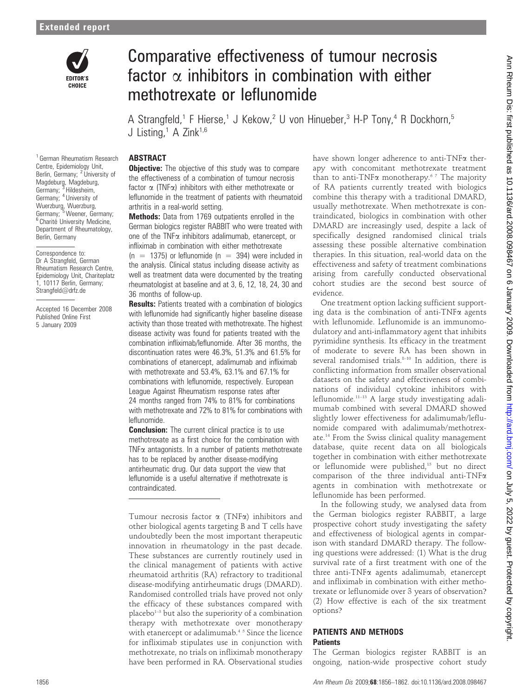

<sup>1</sup> German Rheumatism Research

# Comparative effectiveness of tumour necrosis factor  $\alpha$  inhibitors in combination with either methotrexate or leflunomide

A Strangfeld,<sup>1</sup> F Hierse,<sup>1</sup> J Kekow,<sup>2</sup> U von Hinueber,<sup>3</sup> H-P Tony,<sup>4</sup> R Dockhorn,<sup>5</sup> J Listing,<sup>1</sup> A Zink<sup>1,6</sup>

#### ABSTRACT

**Objective:** The objective of this study was to compare the effectiveness of a combination of tumour necrosis factor  $\alpha$  (TNF $\alpha$ ) inhibitors with either methotrexate or leflunomide in the treatment of patients with rheumatoid arthritis in a real-world setting.

Methods: Data from 1769 outpatients enrolled in the German biologics register RABBIT who were treated with one of the TNF $\alpha$  inhibitors adalimumab, etanercept, or infliximab in combination with either methotrexate

 $(n = 1375)$  or leflunomide  $(n = 394)$  were included in the analysis. Clinical status including disease activity as well as treatment data were documented by the treating rheumatologist at baseline and at 3, 6, 12, 18, 24, 30 and 36 months of follow-up.

**Results:** Patients treated with a combination of biologics with leflunomide had significantly higher baseline disease activity than those treated with methotrexate. The highest disease activity was found for patients treated with the combination infliximab/leflunomide. After 36 months, the discontinuation rates were 46.3%, 51.3% and 61.5% for combinations of etanercept, adalimumab and infliximab with methotrexate and 53.4%, 63.1% and 67.1% for combinations with leflunomide, respectively. European League Against Rheumatism response rates after 24 months ranged from 74% to 81% for combinations with methotrexate and 72% to 81% for combinations with leflunomide.

**Conclusion:** The current clinical practice is to use methotrexate as a first choice for the combination with  $TNF\alpha$  antagonists. In a number of patients methotrexate has to be replaced by another disease-modifying antirheumatic drug. Our data support the view that leflunomide is a useful alternative if methotrexate is contraindicated.

Tumour necrosis factor  $\alpha$  (TNF $\alpha$ ) inhibitors and other biological agents targeting B and T cells have undoubtedly been the most important therapeutic innovation in rheumatology in the past decade. These substances are currently routinely used in the clinical management of patients with active rheumatoid arthritis (RA) refractory to traditional disease-modifying antirheumatic drugs (DMARD). Randomised controlled trials have proved not only the efficacy of these substances compared with placebo<sup>1-3</sup> but also the superiority of a combination therapy with methotrexate over monotherapy with etanercept or adalimumab.<sup>45</sup> Since the licence for infliximab stipulates use in conjunction with methotrexate, no trials on infliximab monotherapy have been performed in RA. Observational studies have shown longer adherence to anti-TNF $\alpha$  therapy with concomitant methotrexate treatment than to anti-TNF $\alpha$  monotherapy.<sup>67</sup> The majority of RA patients currently treated with biologics combine this therapy with a traditional DMARD, usually methotrexate. When methotrexate is contraindicated, biologics in combination with other DMARD are increasingly used, despite a lack of specifically designed randomised clinical trials assessing these possible alternative combination therapies. In this situation, real-world data on the effectiveness and safety of treatment combinations arising from carefully conducted observational cohort studies are the second best source of evidence.

One treatment option lacking sufficient supporting data is the combination of anti-TNF $\alpha$  agents with leflunomide. Leflunomide is an immunomodulatory and anti-inflammatory agent that inhibits pyrimidine synthesis. Its efficacy in the treatment of moderate to severe RA has been shown in several randomised trials.<sup>8-10</sup> In addition, there is conflicting information from smaller observational datasets on the safety and effectiveness of combinations of individual cytokine inhibitors with leflunomide.<sup>11-13</sup> A large study investigating adalimumab combined with several DMARD showed slightly lower effectiveness for adalimumab/leflunomide compared with adalimumab/methotrexate.<sup>14</sup> From the Swiss clinical quality management database, quite recent data on all biologicals together in combination with either methotrexate or leflunomide were published,15 but no direct comparison of the three individual anti-TNFa agents in combination with methotrexate or leflunomide has been performed.

In the following study, we analysed data from the German biologics register RABBIT, a large prospective cohort study investigating the safety and effectiveness of biological agents in comparison with standard DMARD therapy. The following questions were addressed: (1) What is the drug survival rate of a first treatment with one of the three anti-TNFa agents adalimumab, etanercept and infliximab in combination with either methotrexate or leflunomide over 3 years of observation? (2) How effective is each of the six treatment options?

#### PATIENTS AND METHODS **Patients**

The German biologics register RABBIT is an ongoing, nation-wide prospective cohort study

#### Centre, Epidemiology Unit, Berlin, Germany; <sup>2</sup> University of Magdeburg, Magdeburg,<br>Germany; <sup>3</sup> Hildesheim, Germany; <sup>4</sup> University of

Wuerzburg, Wuerzburg,<br>Germany; <sup>5</sup> Weener, Germany; <sup>6</sup> Charité University Medicine, Department of Rheumatology, Berlin, Germany

Correspondence to: Dr A Strangfeld, German Rheumatism Research Centre, Epidemiology Unit, Chariteplatz 1, 10117 Berlin, Germany; Strangfeld@drfz.de

Accepted 16 December 2008 Published Online First 5 January 2009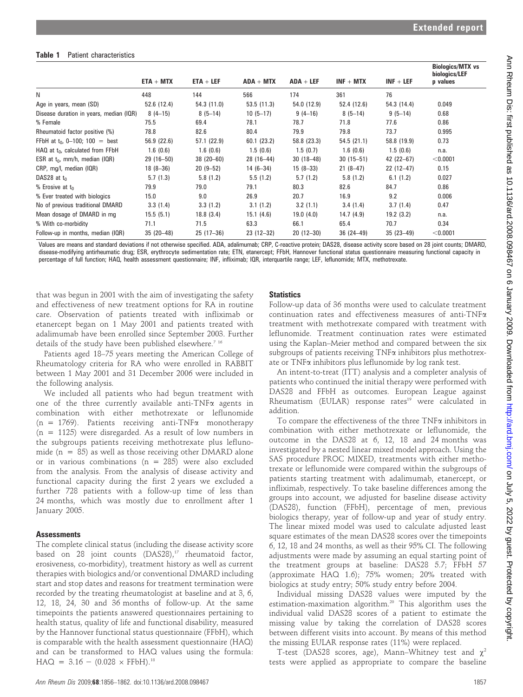#### Table 1 Patient characteristics

|                                         | $ETA + MTX$ | $ETA + LEFT$  | $ADA + MTX$ | $ADA + LEF$ | $INF + MTX$ | $INF + LEF$ | <b>Biologics/MTX vs</b><br>biologics/LEF<br>p values |
|-----------------------------------------|-------------|---------------|-------------|-------------|-------------|-------------|------------------------------------------------------|
| Ν                                       | 448         | 144           | 566         | 174         | 361         | 76          |                                                      |
| Age in years, mean (SD)                 | 52.6 (12.4) | 54.3 (11.0)   | 53.5(11.3)  | 54.0 (12.9) | 52.4 (12.6) | 54.3 (14.4) | 0.049                                                |
| Disease duration in years, median (IQR) | $8(4-15)$   | $8(5-14)$     | $10(5-17)$  | $9(4-16)$   | $8(5-14)$   | $9(5-14)$   | 0.68                                                 |
| % Female                                | 75.5        | 69.4          | 78.1        | 78.7        | 71.8        | 77.6        | 0.86                                                 |
| Rheumatoid factor positive (%)          | 78.8        | 82.6          | 80.4        | 79.9        | 79.8        | 73.7        | 0.995                                                |
| FFbH at $t_0$ , 0-100; 100 = best       | 56.9 (22.6) | 57.1 (22.9)   | 60.1(23.2)  | 58.8 (23.3) | 54.5(21.1)  | 58.8 (19.9) | 0.73                                                 |
| HAQ at $t_0$ , calculated from FFbH     | 1.6(0.6)    | 1.6(0.6)      | 1.5(0.6)    | 1.5(0.7)    | 1.6(0.6)    | 1.5(0.6)    | n.a.                                                 |
| ESR at $t_0$ , mm/h, median (IQR)       | $29(16-50)$ | $38(20 - 60)$ | $28(16-44)$ | $30(18-48)$ | $30(15-51)$ | $42(22-67)$ | < 0.0001                                             |
| CRP, mg/l, median (IQR)                 | $18(8-36)$  | $20(9-52)$    | $14(6-34)$  | $15(8-33)$  | $21(8-47)$  | $22(12-47)$ | 0.15                                                 |
| DAS28 at $t_0$                          | 5.7(1.3)    | 5.8(1.2)      | 5.5(1.2)    | 5.7(1.2)    | 5.8(1.2)    | 6.1(1.2)    | 0.027                                                |
| % Erosive at $t_0$                      | 79.9        | 79.0          | 79.1        | 80.3        | 82.6        | 84.7        | 0.86                                                 |
| % Ever treated with biologics           | 15.0        | 9.0           | 26.9        | 20.7        | 16.9        | 9.2         | 0.006                                                |
| No of previous traditional DMARD        | 3.3(1.4)    | 3.3(1.2)      | 3.1(1.2)    | 3.2(1.1)    | 3.4(1.4)    | 3.7(1.4)    | 0.47                                                 |
| Mean dosage of DMARD in mg              | 15.5(5.1)   | 18.8(3.4)     | 15.1(4.6)   | 19.0(4.0)   | 14.7(4.9)   | 19.2(3.2)   | n.a.                                                 |
| % With co-morbidity                     | 71.1        | 71.5          | 63.3        | 66.1        | 65.4        | 70.7        | 0.34                                                 |
| Follow-up in months, median (IQR)       | $35(20-48)$ | $25(17-36)$   | $23(12-32)$ | $20(12-30)$ | $36(24-49)$ | $35(23-49)$ | < 0.0001                                             |

Values are means and standard deviations if not otherwise specified. ADA, adalimumab; CRP, C-reactive protein; DAS28, disease activity score based on 28 joint counts; DMARD, disease-modifying antirheumatic drug; ESR, erythrocyte sedimentation rate; ETN, etanercept; FFbH, Hannover functional status questionnaire measuring functional capacity in percentage of full function; HAQ, health assessment questionnaire; INF, infliximab; IQR, interquartile range; LEF, leflunomide; MTX, methotrexate.

that was begun in 2001 with the aim of investigating the safety and effectiveness of new treatment options for RA in routine care. Observation of patients treated with infliximab or etanercept began on 1 May 2001 and patients treated with adalimumab have been enrolled since September 2003. Further details of the study have been published elsewhere.<sup>716</sup>

Patients aged 18–75 years meeting the American College of Rheumatology criteria for RA who were enrolled in RABBIT between 1 May 2001 and 31 December 2006 were included in the following analysis.

We included all patients who had begun treatment with one of the three currently available anti-TNF $\alpha$  agents in combination with either methotrexate or leflunomide (n = 1769). Patients receiving anti-TNF $\alpha$  monotherapy  $(n = 1125)$  were disregarded. As a result of low numbers in the subgroups patients receiving methotrexate plus leflunomide  $(n = 85)$  as well as those receiving other DMARD alone or in various combinations ( $n = 285$ ) were also excluded from the analysis. From the analysis of disease activity and functional capacity during the first 2 years we excluded a further 728 patients with a follow-up time of less than 24 months, which was mostly due to enrollment after 1 January 2005.

#### **Assessments**

The complete clinical status (including the disease activity score based on 28 joint counts  $(DAS28),<sup>17</sup>$  rheumatoid factor, erosiveness, co-morbidity), treatment history as well as current therapies with biologics and/or conventional DMARD including start and stop dates and reasons for treatment termination were recorded by the treating rheumatologist at baseline and at 3, 6, 12, 18, 24, 30 and 36 months of follow-up. At the same timepoints the patients answered questionnaires pertaining to health status, quality of life and functional disability, measured by the Hannover functional status questionnaire (FFbH), which is comparable with the health assessment questionnaire (HAQ) and can be transformed to HAQ values using the formula:  $HAO = 3.16 - (0.028 \times \text{FFbH}).^{18}$ 

# **Statistics**

Follow-up data of 36 months were used to calculate treatment continuation rates and effectiveness measures of anti-TNFa treatment with methotrexate compared with treatment with leflunomide. Treatment continuation rates were estimated using the Kaplan–Meier method and compared between the six subgroups of patients receiving TNF $\alpha$  inhibitors plus methotrexate or  $TNF\alpha$  inhibitors plus leflunomide by log rank test.

An intent-to-treat (ITT) analysis and a completer analysis of patients who continued the initial therapy were performed with DAS28 and FFbH as outcomes. European League against Rheumatism (EULAR) response rates<sup>19</sup> were calculated in addition.

To compare the effectiveness of the three TNFa inhibitors in combination with either methotrexate or leflunomide, the outcome in the DAS28 at 6, 12, 18 and 24 months was investigated by a nested linear mixed model approach. Using the SAS procedure PROC MIXED, treatments with either methotrexate or leflunomide were compared within the subgroups of patients starting treatment with adalimumab, etanercept, or infliximab, respectively. To take baseline differences among the groups into account, we adjusted for baseline disease activity (DAS28), function (FFbH), percentage of men, previous biologics therapy, year of follow-up and year of study entry. The linear mixed model was used to calculate adjusted least square estimates of the mean DAS28 scores over the timepoints 6, 12, 18 and 24 months, as well as their 95% CI. The following adjustments were made by assuming an equal starting point of the treatment groups at baseline: DAS28 5.7; FFbH 57 (approximate HAQ 1.6); 75% women; 20% treated with biologics at study entry; 50% study entry before 2004.

Individual missing DAS28 values were imputed by the estimation-maximation algorithm.20 This algorithm uses the individual valid DAS28 scores of a patient to estimate the missing value by taking the correlation of DAS28 scores between different visits into account. By means of this method the missing EULAR response rates (11%) were replaced.

T-test (DAS28 scores, age), Mann–Whitney test and  $\chi^2$ tests were applied as appropriate to compare the baseline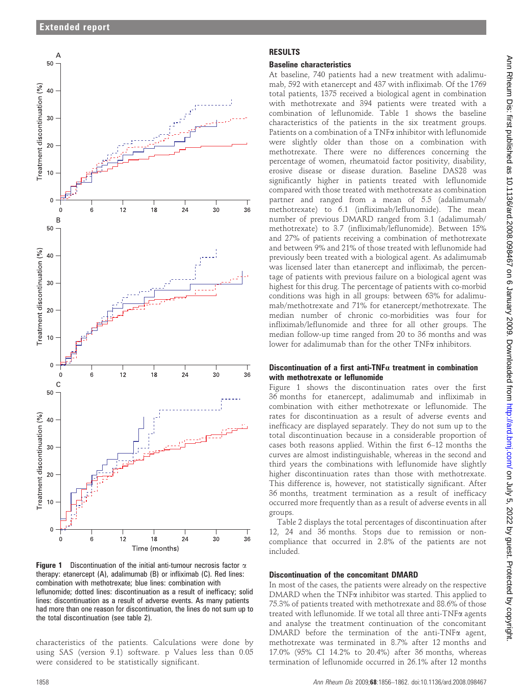

**Figure 1** Discontinuation of the initial anti-tumour necrosis factor  $\alpha$ therapy: etanercept (A), adalimumab (B) or infliximab (C). Red lines: combination with methotrexate; blue lines: combination with leflunomide; dotted lines: discontinuation as a result of inefficacy; solid lines: discontinuation as a result of adverse events. As many patients had more than one reason for discontinuation, the lines do not sum up to the total discontinuation (see table 2).

characteristics of the patients. Calculations were done by using SAS (version 9.1) software. p Values less than 0.05 were considered to be statistically significant.

# RESULTS

#### Baseline characteristics

At baseline, 740 patients had a new treatment with adalimumab, 592 with etanercept and 437 with infliximab. Of the 1769 total patients, 1375 received a biological agent in combination with methotrexate and 394 patients were treated with a combination of leflunomide. Table 1 shows the baseline characteristics of the patients in the six treatment groups. Patients on a combination of a TNF<sub>x</sub> inhibitor with leflunomide were slightly older than those on a combination with methotrexate. There were no differences concerning the percentage of women, rheumatoid factor positivity, disability, erosive disease or disease duration. Baseline DAS28 was significantly higher in patients treated with leflunomide compared with those treated with methotrexate as combination partner and ranged from a mean of 5.5 (adalimumab/ methotrexate) to 6.1 (infliximab/leflunomide). The mean number of previous DMARD ranged from 3.1 (adalimumab/ methotrexate) to 3.7 (infliximab/leflunomide). Between 15% and 27% of patients receiving a combination of methotrexate and between 9% and 21% of those treated with leflunomide had previously been treated with a biological agent. As adalimumab was licensed later than etanercept and infliximab, the percentage of patients with previous failure on a biological agent was highest for this drug. The percentage of patients with co-morbid conditions was high in all groups: between 63% for adalimumab/methotrexate and 71% for etanercept/methotrexate. The median number of chronic co-morbidities was four for infliximab/leflunomide and three for all other groups. The median follow-up time ranged from 20 to 36 months and was lower for adalimumab than for the other  $TNF\alpha$  inhibitors.

#### Discontinuation of a first anti-TNF $\alpha$  treatment in combination with methotrexate or leflunomide

Figure 1 shows the discontinuation rates over the first 36 months for etanercept, adalimumab and infliximab in combination with either methotrexate or leflunomide. The rates for discontinuation as a result of adverse events and inefficacy are displayed separately. They do not sum up to the total discontinuation because in a considerable proportion of cases both reasons applied. Within the first 6–12 months the curves are almost indistinguishable, whereas in the second and third years the combinations with leflunomide have slightly higher discontinuation rates than those with methotrexate. This difference is, however, not statistically significant. After 36 months, treatment termination as a result of inefficacy occurred more frequently than as a result of adverse events in all groups.

Table 2 displays the total percentages of discontinuation after 12, 24 and 36 months. Stops due to remission or noncompliance that occurred in 2.8% of the patients are not included.

#### Discontinuation of the concomitant DMARD

In most of the cases, the patients were already on the respective DMARD when the TNF<sub>x</sub> inhibitor was started. This applied to 75.3% of patients treated with methotrexate and 88.6% of those treated with leflunomide. If we total all three anti-TNFa agents and analyse the treatment continuation of the concomitant DMARD before the termination of the anti-TNFa agent, methotrexate was terminated in 8.7% after 12 months and 17.0% (95% CI 14.2% to 20.4%) after 36 months, whereas termination of leflunomide occurred in 26.1% after 12 months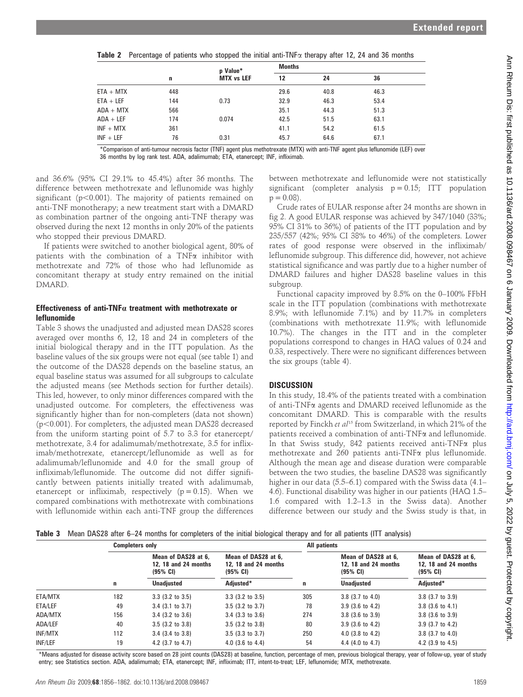|  | Table 2 Percentage of patients who stopped the initial anti-TNF $\alpha$ therapy after 12, 24 and 36 months |  |  |  |
|--|-------------------------------------------------------------------------------------------------------------|--|--|--|
|--|-------------------------------------------------------------------------------------------------------------|--|--|--|

|             | n   | p Value*<br><b>MTX vs LEF</b> | <b>Months</b> |      |      |  |
|-------------|-----|-------------------------------|---------------|------|------|--|
|             |     |                               | 12            | 24   | 36   |  |
| $ETA + MTX$ | 448 |                               | 29.6          | 40.8 | 46.3 |  |
| $ETA + LEF$ | 144 | 0.73                          | 32.9          | 46.3 | 53.4 |  |
| $ADA + MTX$ | 566 |                               | 35.1          | 44.3 | 51.3 |  |
| $ADA + LEF$ | 174 | 0.074                         | 42.5          | 51.5 | 63.1 |  |
| $INF + MTX$ | 361 |                               | 41.1          | 54.2 | 61.5 |  |
| $INF + LEF$ | 76  | 0.31                          | 45.7          | 64.6 | 67.1 |  |

\*Comparison of anti-tumour necrosis factor (TNF) agent plus methotrexate (MTX) with anti-TNF agent plus leflunomide (LEF) over 36 months by log rank test. ADA, adalimumab; ETA, etanercept; INF, infliximab.

and 36.6% (95% CI 29.1% to 45.4%) after 36 months. The difference between methotrexate and leflunomide was highly significant ( $p$ <0.001). The majority of patients remained on anti-TNF monotherapy; a new treatment start with a DMARD as combination partner of the ongoing anti-TNF therapy was observed during the next 12 months in only 20% of the patients who stopped their previous DMARD.

If patients were switched to another biological agent, 80% of patients with the combination of a  $TNF\alpha$  inhibitor with methotrexate and 72% of those who had leflunomide as concomitant therapy at study entry remained on the initial DMARD.

#### Effectiveness of anti-TNF $\alpha$  treatment with methotrexate or leflunomide

Table 3 shows the unadjusted and adjusted mean DAS28 scores averaged over months 6, 12, 18 and 24 in completers of the initial biological therapy and in the ITT population. As the baseline values of the six groups were not equal (see table 1) and the outcome of the DAS28 depends on the baseline status, an equal baseline status was assumed for all subgroups to calculate the adjusted means (see Methods section for further details). This led, however, to only minor differences compared with the unadjusted outcome. For completers, the effectiveness was significantly higher than for non-completers (data not shown)  $(p<0.001)$ . For completers, the adjusted mean DAS28 decreased from the uniform starting point of 5.7 to 3.3 for etanercept/ methotrexate, 3.4 for adalimumab/methotrexate, 3.5 for infliximab/methotrexate, etanercept/leflunomide as well as for adalimumab/leflunomide and 4.0 for the small group of infliximab/leflunomide. The outcome did not differ significantly between patients initially treated with adalimumab, etanercept or infliximab, respectively ( $p = 0.15$ ). When we compared combinations with methotrexate with combinations with leflunomide within each anti-TNF group the differences

between methotrexate and leflunomide were not statistically significant (completer analysis  $p = 0.15$ ; ITT population  $p = 0.08$ ).

Crude rates of EULAR response after 24 months are shown in fig 2. A good EULAR response was achieved by 347/1040 (33%; 95% CI 31% to 36%) of patients of the ITT population and by 235/557 (42%; 95% CI 38% to 46%) of the completers. Lower rates of good response were observed in the infliximab/ leflunomide subgroup. This difference did, however, not achieve statistical significance and was partly due to a higher number of DMARD failures and higher DAS28 baseline values in this subgroup.

Functional capacity improved by 8.5% on the 0–100% FFbH scale in the ITT population (combinations with methotrexate 8.9%; with leflunomide 7.1%) and by 11.7% in completers (combinations with methotrexate 11.9%; with leflunomide 10.7%). The changes in the ITT and in the completer populations correspond to changes in HAQ values of 0.24 and 0.33, respectively. There were no significant differences between the six groups (table 4).

#### **DISCUSSION**

In this study, 18.4% of the patients treated with a combination of anti-TNFa agents and DMARD received leflunomide as the concomitant DMARD. This is comparable with the results reported by Finckh et al<sup>15</sup> from Switzerland, in which 21% of the patients received a combination of anti-TNFa and leflunomide. In that Swiss study, 842 patients received anti-TNFa plus methotrexate and 260 patients anti-TNF $\alpha$  plus leflunomide. Although the mean age and disease duration were comparable between the two studies, the baseline DAS28 was significantly higher in our data (5.5–6.1) compared with the Swiss data (4.1– 4.6). Functional disability was higher in our patients (HAQ 1.5– 1.6 compared with 1.2–1.3 in the Swiss data). Another difference between our study and the Swiss study is that, in

Table 3 Mean DAS28 after 6–24 months for completers of the initial biological therapy and for all patients (ITT analysis)

|                | <b>Completers only</b> |                                                                     |                                                                      |     | All patients                                                        |                                                                     |  |  |
|----------------|------------------------|---------------------------------------------------------------------|----------------------------------------------------------------------|-----|---------------------------------------------------------------------|---------------------------------------------------------------------|--|--|
|                |                        | Mean of DAS28 at 6.<br>12, 18 and 24 months<br>$(95% \; \text{CI})$ | Mean of DAS28 at 6.<br>12, 18 and 24 months<br>$(95\% \; \text{Cl})$ |     | Mean of DAS28 at 6.<br>12, 18 and 24 months<br>$(95% \; \text{Cl})$ | Mean of DAS28 at 6.<br>12, 18 and 24 months<br>$(95% \; \text{Cl})$ |  |  |
|                | n                      | <b>Unadjusted</b>                                                   | Adjusted*                                                            | n   | <b>Unadjusted</b>                                                   | Adjusted*                                                           |  |  |
| ETA/MTX        | 182                    | $3.3$ (3.2 to $3.5$ )                                               | $3.3$ (3.2 to $3.5$ )                                                | 305 | $3.8$ (3.7 to 4.0)                                                  | $3.8$ (3.7 to $3.9$ )                                               |  |  |
| ETA/LEF        | 49                     | $3.4$ (3.1 to 3.7)                                                  | $3.5$ (3.2 to 3.7)                                                   | 78  | $3.9$ (3.6 to 4.2)                                                  | $3.8$ (3.6 to 4.1)                                                  |  |  |
| ADA/MTX        | 156                    | $3.4$ (3.2 to $3.6$ )                                               | $3.4$ (3.3 to $3.6$ )                                                | 274 | $3.8$ (3.6 to $3.9$ )                                               | $3.8$ (3.6 to $3.9$ )                                               |  |  |
| ADA/LEF        | 40                     | $3.5$ (3.2 to $3.8$ )                                               | $3.5$ (3.2 to $3.8$ )                                                | 80  | $3.9$ (3.6 to 4.2)                                                  | $3.9$ (3.7 to 4.2)                                                  |  |  |
| INF/MTX        | 112                    | $3.4$ (3.4 to 3.8)                                                  | $3.5$ (3.3 to 3.7)                                                   | 250 | $4.0$ (3.8 to 4.2)                                                  | $3.8$ (3.7 to 4.0)                                                  |  |  |
| <b>INF/LEF</b> | 19                     | 4.2 $(3.7 \text{ to } 4.7)$                                         | $4.0$ (3.6 to $4.4$ )                                                | 54  | 4.4 $(4.0 \text{ to } 4.7)$                                         | 4.2 $(3.9 \text{ to } 4.5)$                                         |  |  |

\*Means adjusted for disease activity score based on 28 joint counts (DAS28) at baseline, function, percentage of men, previous biological therapy, year of follow-up, year of study entry; see Statistics section. ADA, adalimumab; ETA, etanercept; INF, infliximab; ITT, intent-to-treat; LEF, leflunomide; MTX, methotrexate.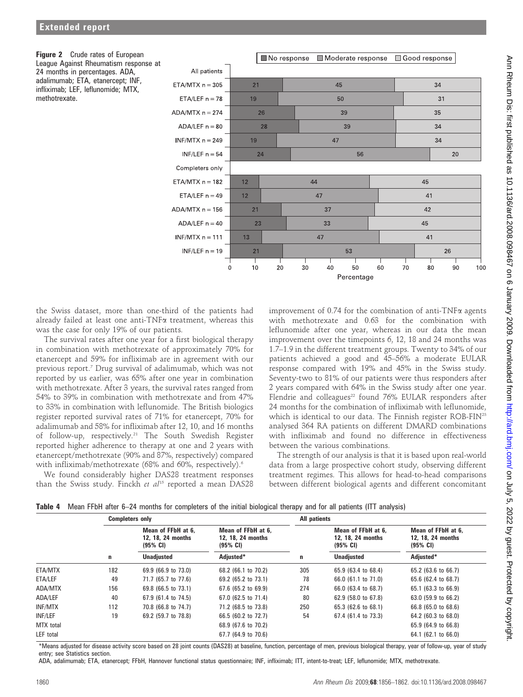# Extended report

Figure 2 Crude rates of European League Against Rheumatism response at 24 months in percentages. ADA, adalimumab; ETA, etanercept; INF, infliximab; LEF, leflunomide; MTX, methotrexate.



the Swiss dataset, more than one-third of the patients had already failed at least one anti-TNFa treatment, whereas this was the case for only 19% of our patients.

The survival rates after one year for a first biological therapy in combination with methotrexate of approximately 70% for etanercept and 59% for infliximab are in agreement with our previous report.7 Drug survival of adalimumab, which was not reported by us earlier, was 65% after one year in combination with methotrexate. After 3 years, the survival rates ranged from 54% to 39% in combination with methotrexate and from 47% to 33% in combination with leflunomide. The British biologics register reported survival rates of 71% for etanercept, 70% for adalimumab and 58% for infliximab after 12, 10, and 16 months of follow-up, respectively.<sup>21</sup> The South Swedish Register reported higher adherence to therapy at one and 2 years with etanercept/methotrexate (90% and 87%, respectively) compared with infliximab/methotrexate (68% and 60%, respectively).<sup>6</sup>

We found considerably higher DAS28 treatment responses than the Swiss study. Finckh et  $a^{15}$  reported a mean DAS28

improvement of 0.74 for the combination of anti-TNF $\alpha$  agents with methotrexate and 0.63 for the combination with leflunomide after one year, whereas in our data the mean improvement over the timepoints 6, 12, 18 and 24 months was 1.7–1.9 in the different treatment groups. Twenty to 34% of our patients achieved a good and 45–56% a moderate EULAR response compared with 19% and 45% in the Swiss study. Seventy-two to 81% of our patients were thus responders after 2 years compared with 64% in the Swiss study after one year. Flendrie and colleagues<sup>22</sup> found  $76\%$  EULAR responders after 24 months for the combination of infliximab with leflunomide, which is identical to our data. The Finnish register ROB-FIN<sup>23</sup> analysed 364 RA patients on different DMARD combinations with infliximab and found no difference in effectiveness between the various combinations.

The strength of our analysis is that it is based upon real-world data from a large prospective cohort study, observing different treatment regimes. This allows for head-to-head comparisons between different biological agents and different concomitant

|  |  | Table 4 Mean FFbH after 6-24 months for completers of the initial biological therapy and for all patients (ITT analysis) |  |  |
|--|--|--------------------------------------------------------------------------------------------------------------------------|--|--|
|  |  |                                                                                                                          |  |  |

|           | <b>Completers only</b> |                                                                 |                                                                | All patients |                                                                  |                                                                 |  |
|-----------|------------------------|-----------------------------------------------------------------|----------------------------------------------------------------|--------------|------------------------------------------------------------------|-----------------------------------------------------------------|--|
|           |                        | Mean of FFbH at 6.<br>12, 18, 24 months<br>$(95% \; \text{CI})$ | Mean of FFbH at 6.<br>12, 18, 24 months<br>$(95\% \text{ CI})$ |              | Mean of FFbH at 6.<br>12, 18, 24 months<br>$(95\% \; \text{Cl})$ | Mean of FFbH at 6.<br>12. 18. 24 months<br>$(95% \; \text{CI})$ |  |
|           | n                      | <b>Unadjusted</b>                                               | Adjusted*                                                      | n            | <b>Unadjusted</b>                                                | Adjusted*                                                       |  |
| ETA/MTX   | 182                    | 69.9 (66.9 to 73.0)                                             | 68.2 (66.1 to 70.2)                                            | 305          | 65.9 (63.4 to 68.4)                                              | 65.2 (63.6 to 66.7)                                             |  |
| ETA/LEF   | 49                     | 71.7 (65.7 to 77.6)                                             | 69.2 (65.2 to 73.1)                                            | 78           | 66.0 (61.1 to 71.0)                                              | 65.6 (62.4 to 68.7)                                             |  |
| ADA/MTX   | 156                    | 69.8 (66.5 to 73.1)                                             | 67.6 (65.2 to 69.9)                                            | 274          | 66.0 (63.4 to 68.7)                                              | 65.1 (63.3 to 66.9)                                             |  |
| ADA/LEF   | 40                     | 67.9 (61.4 to 74.5)                                             | 67.0 (62.5 to 71.4)                                            | 80           | 62.9 (58.0 to 67.8)                                              | 63.0 (59.9 to 66.2)                                             |  |
| INF/MTX   | 112                    | 70.8 (66.8 to 74.7)                                             | 71.2 (68.5 to 73.8)                                            | 250          | 65.3 (62.6 to 68.1)                                              | 66.8 (65.0 to 68.6)                                             |  |
| INF/LEF   | 19                     | 69.2 (59.7 to 78.8)                                             | 66.5 (60.2 to 72.7)                                            | 54           | 67.4 (61.4 to 73.3)                                              | 64.2 (60.3 to 68.0)                                             |  |
| MTX total |                        |                                                                 | 68.9 (67.6 to 70.2)                                            |              |                                                                  | 65.9 (64.9 to 66.8)                                             |  |
| LEF total |                        |                                                                 | 67.7 (64.9 to 70.6)                                            |              |                                                                  | 64.1 (62.1 to 66.0)                                             |  |

\*Means adjusted for disease activity score based on 28 joint counts (DAS28) at baseline, function, percentage of men, previous biological therapy, year of follow-up, year of study entry; see Statistics section.

ADA, adalimumab; ETA, etanercept; FFbH, Hannover functional status questionnaire; INF, infliximab; ITT, intent-to-treat; LEF, leflunomide; MTX, methotrexate.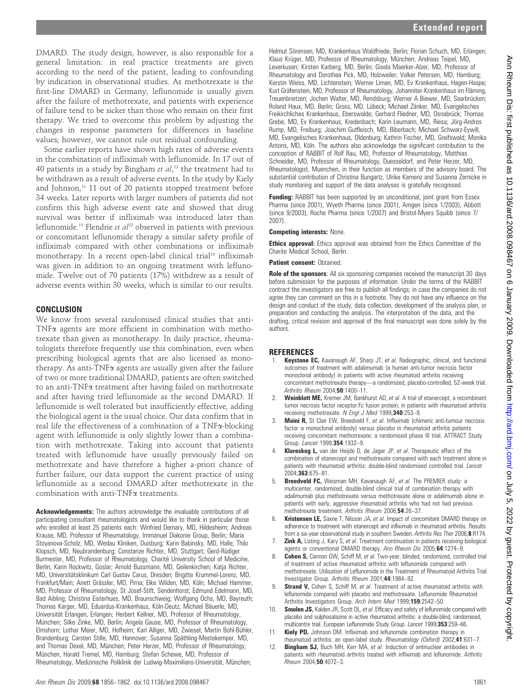DMARD. The study design, however, is also responsible for a general limitation: in real practice treatments are given according to the need of the patient, leading to confounding by indication in observational studies. As methotrexate is the first-line DMARD in Germany, leflunomide is usually given after the failure of methotrexate, and patients with experience of failure tend to be sicker than those who remain on their first therapy. We tried to overcome this problem by adjusting the changes in response parameters for differences in baseline values; however, we cannot rule out residual confounding.

Some earlier reports have shown high rates of adverse events in the combination of infliximab with leflunomide. In 17 out of 40 patients in a study by Bingham  ${\it et}~ al, {}^{12}$  the treatment had to be withdrawn as a result of adverse events. In the study by Kiely and Johnson,<sup>11</sup> 11 out of 20 patients stopped treatment before 34 weeks. Later reports with larger numbers of patients did not confirm this high adverse event rate and showed that drug survival was better if infliximab was introduced later than leflunomide.<sup>13</sup> Flendrie et  $al^{22}$  observed in patients with previous or concomitant leflunomide therapy a similar safety profile of infliximab compared with other combinations or infliximab monotherapy. In a recent open-label clinical trial<sup>24</sup> infliximab was given in addition to an ongoing treatment with leflunomide. Twelve out of 70 patients (17%) withdrew as a result of adverse events within 30 weeks, which is similar to our results.

#### **CONCLUSION**

We know from several randomised clinical studies that anti-TNFa agents are more efficient in combination with methotrexate than given as monotherapy. In daily practice, rheumatologists therefore frequently use this combination, even when prescribing biological agents that are also licensed as monotherapy. As anti-TNFa agents are usually given after the failure of two or more traditional DMARD, patients are often switched to an anti-TNFa treatment after having failed on methotrexate and after having tried leflunomide as the second DMARD. If leflunomide is well tolerated but insufficiently effective, adding the biological agent is the usual choice. Our data confirm that in real life the effectiveness of a combination of a TNFa-blocking agent with leflunomide is only slightly lower than a combination with methotrexate. Taking into account that patients treated with leflunomide have usually previously failed on methotrexate and have therefore a higher a-priori chance of further failure, our data support the current practice of using leflunomide as a second DMARD after methotrexate in the combination with anti-TNFa treatments.

Acknowledgements: The authors acknowledge the invaluable contributions of all participating consultant rheumatologists and would like to thank in particular those who enrolled at least 25 patients each: Winfried Demary, MD, Hildesheim; Andreas Krause, MD, Professor of Rheumatology, Immanuel Diakonie Group, Berlin; Maria Stoyanova-Scholz, MD, Wedau Kliniken, Duisburg; Karin Babinsky, MD, Halle; Thilo Klopsch, MD, Neubrandenburg; Constanze Richter, MD, Stuttgart; Gerd-Rüdiger Burmester, MD, Professor of Rheumatology, Charité University School of Medicine, Berlin; Karin Rockwitz, Goslar; Arnold Bussmann, MD, Geilenkirchen; Katja Richter, MD, Universitätsklinikum Carl Gustav Carus, Dresden; Brigitte Krummel-Lorenz, MD, Frankfurt/Main; Anett Grässler, MD, Pirna; Elke Wilden, MD, Köln; Michael Hammer, MD, Professor of Rheumatology, St Josef-Stift, Sendenhorst; Edmund Edelmann, MD, Bad Aibling; Christina Eisterhues, MD, Braunschweig; Wolfgang Ochs, MD, Bayreuth; Thomas Karger, MD, Eduardus-Krankenhaus, Köln-Deutz; Michael Bäuerle, MD, Universität Erlangen, Erlangen; Herbert Kellner, MD, Professor of Rheumatology, München; Silke Zinke, MD, Berlin; Angela Gause, MD, Professor of Rheumatology, Elmshorn; Lothar Meier, MD, Hofheim; Karl Alliger, MD, Zwiesel; Martin Bohl-Bühler, Brandenburg; Carsten Stille, MD, Hannover; Susanna Späthling-Mestekemper, MD, and Thomas Dexel, MD, München; Peter Herzer, MD, Professor of Rheumatology, München, Harald Tremel, MD, Hamburg; Stefan Schewe, MD, Professor of Rheumatology, Medizinische Poliklinik der Ludwig-Maximilians-Universität, München;

Helmut Sörensen, MD, Krankenhaus Waldfriede, Berlin; Florian Schuch, MD, Erlangen; Klaus Krüger, MD, Professor of Rheumatology, München; Andreas Teipel, MD, Leverkusen; Kirsten Karberg, MD, Berlin; Gisela Maerker-Alzer, MD, Professor of Rheumatology and Dorothea Pick, MD, Holzweiler; Volker Petersen, MD, Hamburg; Kerstin Weiss, MD, Lichtenstein; Werner Liman, MD, Ev Krankenhaus, Hagen-Haspe; Kurt Gräfenstein, MD, Professor of Rheumatology, Johanniter-Krankenhaus im Fläming, Treuenbrietzen; Jochen Walter, MD, Rendsburg; Werner A Biewer, MD, Saarbrücken; Roland Haux, MD, Berlin; Gross, MD, Lübeck; Michael Zänker, MD, Evangelisches Freikirchliches Krankenhaus, Eberswalde; Gerhard Fliedner, MD, Osnabrück; Thomas Grebe, MD, Ev Krankenhaus, Kredenbach; Karin Leumann, MD, Riesa; Jörg-Andres Rump, MD, Freiburg; Joachim Gutfleisch, MD, Biberbach; Michael Schwarz-Eywill, MD, Evangelisches Krankenhaus, Oldenburg; Kathrin Fischer, MD, Greifswald; Monika Antons, MD, Köln. The authors also acknowledge the significant contribution to the conception of RABBIT of Rolf Rau, MD, Professor of Rheumatology, Matthias Schneider, MD, Professor of Rheumatology, Duesseldorf, and Peter Herzer, MD, Rheumatologist, Muenchen, in their function as members of the advisory board. The substantial contribution of Christina Bungartz, Ulrike Kamenz and Susanna Zernicke in study monitoring and support of the data analyses is gratefully recognised.

Funding: RABBIT has been supported by an unconditional, joint grant from Essex Pharma (since 2001), Wyeth Pharma (since 2001), Amgen (since 1/2003), Abbott (since 9/2003), Roche Pharma (since 1/2007) and Bristol-Myers Squibb (since 7/ 2007).

#### Competing interests: None.

Ethics approval: Ethics approval was obtained from the Ethics Committee of the Charite Medical School, Berlin.

#### Patient consent: Obtained

Role of the sponsors: All six sponsoring companies received the manuscript 30 days before submission for the purposes of information. Under the terms of the RABBIT contract the investigators are free to publish all findings; in case the companies do not agree they can comment on this in a footnote. They do not have any influence on the design and conduct of the study, data collection, development of the analysis plan, or preparation and conducting the analysis. The interpretation of the data, and the drafting, critical revision and approval of the final manuscript was done solely by the authors.

# **REFERENCES**<br>1. Kevstone E

- **Keystone EC,** Kavanaugh AF, Sharp JT, et al. Radiographic, clinical, and functional outcomes of treatment with adalimumab (a human anti-tumor necrosis factor monoclonal antibody) in patients with active rheumatoid arthritis receiving concomitant methotrexate therapy—a randomized, placebo-controlled, 52-week trial. Arthritis Rheum 2004;50:1400–11.
- 2. **Weinblatt ME**, Kremer JM, Bankhurst AD, et al. A trial of etanercept, a recombinant tumor necrosis factor receptor:Fc fusion protein, in patients with rheumatoid arthritis receiving methotrexate. N Engl J Med 1999;340:253-9.
- 3. Maini R, St Clair EW, Breedveld F, et al. Infliximab (chimeric anti-tumour necrosis factor  $\alpha$  monoclonal antibody) versus placebo in rheumatoid arthritis patients receiving concomitant methotrexate: a randomised phase III trial. ATTRACT Study Group. Lancet 1999;354:1932–9.
- Klareskog L, van der Heijde D, de Jager JP, et al. Therapeutic effect of the combination of etanercept and methotrexate compared with each treatment alone in patients with rheumatoid arthritis: double-blind randomised controlled trial. Lancet 2004;363:675–81.
- Breedveld FC, Weisman MH, Kavanaugh AF, et al. The PREMIER study: a multicenter, randomized, double-blind clinical trial of combination therapy with adalimumab plus methotrexate versus methotrexate alone or adalimumab alone in patients with early, aggressive rheumatoid arthritis who had not had previous methotrexate treatment. Arthritis Rheum 2006;54:26-37.
- 6. **Kristensen LE,** Saxne T, Nilsson JA, et al. Impact of concomitant DMARD therapy on adherence to treatment with etanercept and infliximab in rheumatoid arthritis. Results from a six-year observational study in southern Sweden. Arthritis Res Ther 2006;8:R174.
- **Zink A,** Listing J, Kary S, et al. Treatment continuation in patients receiving biological agents or conventional DMARD therapy. Ann Rheum Dis 2005;64:1274–9.
- 8. Cohen S, Cannon GW, Schiff M, et al. Two-year, blinded, randomized, controlled trial of treatment of active rheumatoid arthritis with leflunomide compared with methotrexate. Utilisation of Leflunomide in the Treatment of Rheumatoid Arthritis Trial Investigator Group. Arthritis Rheum 2001;44:1984–92.
- 9. Strand V, Cohen S, Schiff M, et al. Treatment of active rheumatoid arthritis with leflunomide compared with placebo and methotrexate. Leflunomide Rheumatoid Arthritis Investigators Group. Arch Intern Med 1999;159:2542–50.
- 10. **Smolen JS,** Kalden JR, Scott DL, et al. Efficacy and safety of leflunomide compared with placebo and sulphasalazine in active rheumatoid arthritis: a double-blind, randomised, multicentre trial. European Leflunomide Study Group. Lancet 1999;353:259–66.
- 11. Kiely PD, Johnson DM. Infliximab and leflunomide combination therapy in rheumatoid arthritis: an open-label study. Rheumatology (Oxford) 2002;41:631–7.
- 12. Bingham SJ, Buch MH, Kerr MA, et al. Induction of antinuclear antibodies in patients with rheumatoid arthritis treated with infliximab and leflunomide. Arthritis Rheum 2004;50:4072–3.